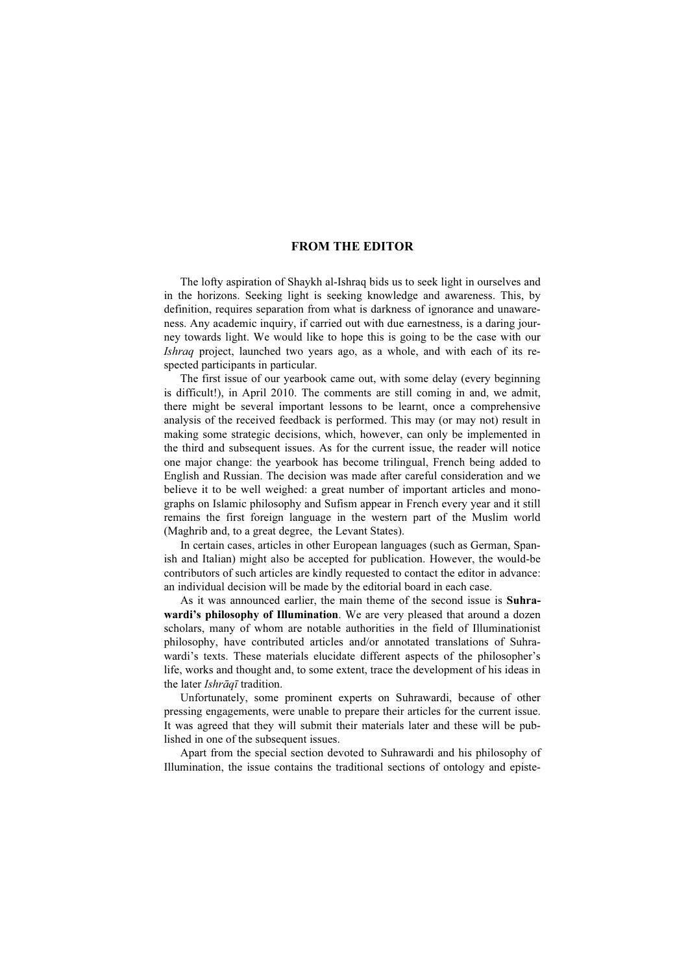## FROM THE EDITOR

The lofty aspiration of Shaykh al-Ishraq bids us to seek light in ourselves and in the horizons. Seeking light is seeking knowledge and awareness. This, by definition, requires separation from what is darkness of ignorance and unawareness. Any academic inquiry, if carried out with due earnestness, is a daring journey towards light. We would like to hope this is going to be the case with our Ishraq project, launched two years ago, as a whole, and with each of its respected participants in particular.

The first issue of our yearbook came out, with some delay (every beginning is difficult!), in April 2010. The comments are still coming in and, we admit, there might be several important lessons to be learnt, once a comprehensive analysis of the received feedback is performed. This may (or may not) result in making some strategic decisions, which, however, can only be implemented in the third and subsequent issues. As for the current issue, the reader will notice one major change: the yearbook has become trilingual, French being added to English and Russian. The decision was made after careful consideration and we believe it to be well weighed: a great number of important articles and monographs on Islamic philosophy and Sufism appear in French every year and it still remains the first foreign language in the western part of the Muslim world (Maghrib and, to a great degree, the Levant States).

In certain cases, articles in other European languages (such as German, Spanish and Italian) might also be accepted for publication. However, the would-be contributors of such articles are kindly requested to contact the editor in advance: an individual decision will be made by the editorial board in each case.

As it was announced earlier, the main theme of the second issue is Suhrawardi's philosophy of Illumination. We are very pleased that around a dozen scholars, many of whom are notable authorities in the field of Illuminationist philosophy, have contributed articles and/or annotated translations of Suhrawardi's texts. These materials elucidate different aspects of the philosopher's life, works and thought and, to some extent, trace the development of his ideas in the later *Ishrāqī* tradition.

Unfortunately, some prominent experts on Suhrawardi, because of other pressing engagements, were unable to prepare their articles for the current issue. It was agreed that they will submit their materials later and these will be published in one of the subsequent issues.

Apart from the special section devoted to Suhrawardi and his philosophy of Illumination, the issue contains the traditional sections of ontology and episte